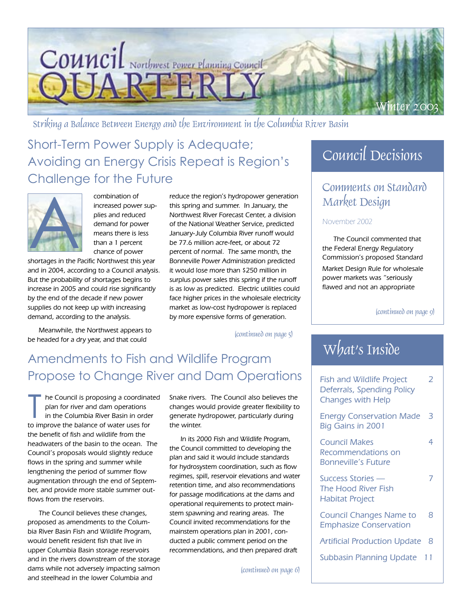

Striking a Balance Between Energy and the Environment in the Columbia River Basin

### Short-Term Power Supply is Adequate; Avoiding an Energy Crisis Repeat is Region's Challenge for the Future



combination of increased power supplies and reduced demand for power means there is less than a 1 percent chance of power

shortages in the Pacific Northwest this year and in 2004, according to a Council analysis. But the probability of shortages begins to increase in 2005 and could rise significantly by the end of the decade if new power supplies do not keep up with increasing demand, according to the analysis.

Meanwhile, the Northwest appears to be headed for a dry year, and that could

reduce the region's hydropower generation this spring and summer. In January, the Northwest River Forecast Center, a division of the National Weather Service, predicted January-July Columbia River runoff would be 77.6 million acre-feet, or about 72 percent of normal. The same month, the Bonneville Power Administration predicted it would lose more than \$250 million in surplus power sales this spring if the runoff is as low as predicted. Electric utilities could face higher prices in the wholesale electricity market as low-cost hydropower is replaced by more expensive forms of generation.

(continued on page 5)

### Amendments to Fish and Wildlife Program Propose to Change River and Dam Operations

he Council is proposing a coordinat<br>plan for river and dam operations<br>in the Columbia River Basin in order<br>to improve the balance of water uses for he Council is proposing a coordinated plan for river and dam operations in the Columbia River Basin in order the benefit of fish and wildlife from the headwaters of the basin to the ocean. The Council's proposals would slightly reduce flows in the spring and summer while lengthening the period of summer flow augmentation through the end of September, and provide more stable summer outflows from the reservoirs.

The Council believes these changes, proposed as amendments to the Columbia River Basin Fish and Wildlife Program, would benefit resident fish that live in upper Columbia Basin storage reservoirs and in the rivers downstream of the storage dams while not adversely impacting salmon and steelhead in the lower Columbia and

Snake rivers. The Council also believes the changes would provide greater flexibility to generate hydropower, particularly during the winter.

In its 2000 Fish and Wildlife Program, the Council committed to developing the plan and said it would include standards for hydrosystem coordination, such as flow regimes, spill, reservoir elevations and water retention time, and also recommendations for passage modifications at the dams and operational requirements to protect mainstem spawning and rearing areas. The Council invited recommendations for the mainstem operations plan in 2001, conducted a public comment period on the recommendations, and then prepared draft

(continued on page 6)

### Council Decisions

### Comments on Standard Market Design

#### November 2002

The Council commented that the Federal Energy Regulatory Commission's proposed Standard Market Design Rule for wholesale power markets was "seriously flawed and not an appropriate

(continued on page 9)

### What's Inside

| <b>Fish and Wildlife Project</b><br>Deferrals, Spending Policy<br><b>Changes with Help</b> | フ |
|--------------------------------------------------------------------------------------------|---|
| <b>Energy Conservation Made</b><br>Big Gains in 2001                                       | 3 |
| <b>Council Makes</b><br>Recommendations on<br>Bonneville's Future                          | 4 |
| Success Stories —<br><b>The Hood River Fish</b><br><b>Habitat Project</b>                  |   |
| <b>Council Changes Name to</b><br><b>Emphasize Conservation</b>                            | 8 |
| <b>Artificial Production Update</b>                                                        | 8 |
| <b>Subbasin Planning Update</b>                                                            |   |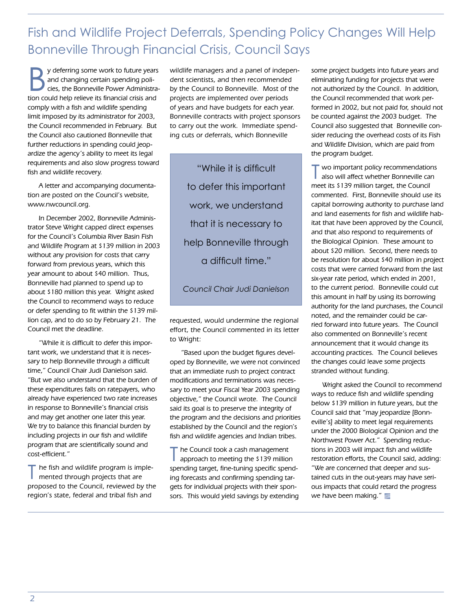Fish and Wildlife Project Deferrals, Spending Policy Changes Will Help Bonneville Through Financial Crisis, Council Says

y deferring some work to future years and changing certain spending policies, the Bonneville Power Administration could help relieve its financial crisis and comply with a fish and wildlife spending limit imposed by its administrator for 2003, the Council recommended in February. But the Council also cautioned Bonneville that further reductions in spending could jeopardize the agency's ability to meet its legal requirements and also slow progress toward fish and wildlife recovery.

A letter and accompanying documentation are posted on the Council's website, www.nwcouncil.org.

In December 2002, Bonneville Administrator Steve Wright capped direct expenses for the Council's Columbia River Basin Fish and Wildlife Program at \$139 million in 2003 without any provision for costs that carry forward from previous years, which this year amount to about \$40 million. Thus, Bonneville had planned to spend up to about \$180 million this year. Wright asked the Council to recommend ways to reduce or defer spending to fit within the \$139 million cap, and to do so by February 21. The Council met the deadline.

"While it is difficult to defer this important work, we understand that it is necessary to help Bonneville through a difficult time," Council Chair Judi Danielson said. "But we also understand that the burden of these expenditures falls on ratepayers, who already have experienced two rate increases in response to Bonneville's financial crisis and may get another one later this year. We try to balance this financial burden by including projects in our fish and wildlife program that are scientifically sound and cost-efficient."

 $\blacksquare$  he fish and wildlife program is implemented through projects that are proposed to the Council, reviewed by the region's state, federal and tribal fish and

wildlife managers and a panel of independent scientists, and then recommended by the Council to Bonneville. Most of the projects are implemented over periods of years and have budgets for each year. Bonneville contracts with project sponsors to carry out the work. Immediate spending cuts or deferrals, which Bonneville

"While it is difficult to defer this important work, we understand that it is necessary to help Bonneville through a difficult time."

*Council Chair Judi Danielson*

requested, would undermine the regional effort, the Council commented in its letter to Wright:

"Based upon the budget figures developed by Bonneville, we were not convinced that an immediate rush to project contract modifications and terminations was necessary to meet your Fiscal Year 2003 spending objective," the Council wrote. The Council said its goal is to preserve the integrity of the program and the decisions and priorities established by the Council and the region's fish and wildlife agencies and Indian tribes.

The Council took a cash management<br>approach to meeting the \$139 million spending target, fine-tuning specific spending forecasts and confirming spending targets for individual projects with their sponsors. This would yield savings by extending some project budgets into future years and eliminating funding for projects that were not authorized by the Council. In addition, the Council recommended that work performed in 2002, but not paid for, should not be counted against the 2003 budget. The Council also suggested that Bonneville consider reducing the overhead costs of its Fish and Wildlife Division, which are paid from the program budget.

wo important policy recommendations also will affect whether Bonneville can meet its \$139 million target, the Council commented. First, Bonneville should use its capital borrowing authority to purchase land and land easements for fish and wildlife habitat that have been approved by the Council, and that also respond to requirements of the Biological Opinion. These amount to about \$20 million. Second, there needs to be resolution for about \$40 million in project costs that were carried forward from the last six-year rate period, which ended in 2001, to the current period. Bonneville could cut this amount in half by using its borrowing authority for the land purchases, the Council noted, and the remainder could be carried forward into future years. The Council also commented on Bonneville's recent announcement that it would change its accounting practices. The Council believes the changes could leave some projects stranded without funding.

Wright asked the Council to recommend ways to reduce fish and wildlife spending below \$139 million in future years, but the Council said that "may jeopardize [Bonneville's] ability to meet legal requirements under the 2000 Biological Opinion and the Northwest Power Act." Spending reductions in 2003 will impact fish and wildlife restoration efforts, the Council said, adding: "We are concerned that deeper and sustained cuts in the out-years may have serious impacts that could retard the progress we have been making."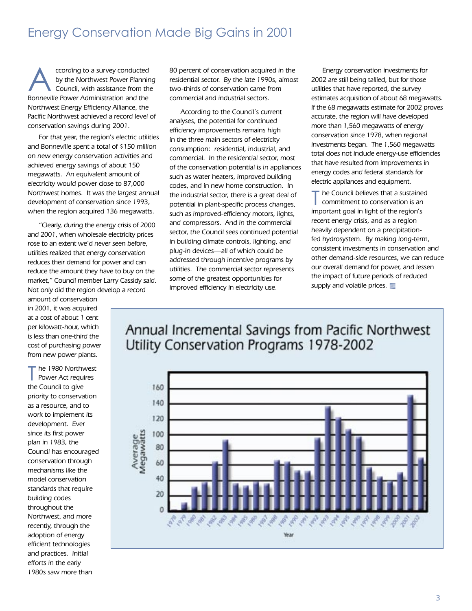### Energy Conservation Made Big Gains in 2001

ccording to a survey conducted by the Northwest Power Planning Council, with assistance from the Bonneville Power Administration and the Northwest Energy Efficiency Alliance, the Pacific Northwest achieved a record level of conservation savings during 2001.

For that year, the region's electric utilities and Bonneville spent a total of \$150 million on new energy conservation activities and achieved energy savings of about 150 megawatts. An equivalent amount of electricity would power close to 87,000 Northwest homes. It was the largest annual development of conservation since 1993, when the region acquired 136 megawatts.

"Clearly, during the energy crisis of 2000 and 2001, when wholesale electricity prices rose to an extent we'd never seen before, utilities realized that energy conservation reduces their demand for power and can reduce the amount they have to buy on the market," Council member Larry Cassidy said. Not only did the region develop a record

amount of conservation in 2001, it was acquired at a cost of about 1 cent per kilowatt-hour, which is less than one-third the cost of purchasing power from new power plants.

The 1980 Northwest<br>
Power Act requires the Council to give priority to conservation as a resource, and to work to implement its development. Ever since its first power plan in 1983, the Council has encouraged conservation through mechanisms like the model conservation standards that require building codes throughout the Northwest, and more recently, through the adoption of energy efficient technologies and practices. Initial efforts in the early 1980s saw more than

80 percent of conservation acquired in the residential sector. By the late 1990s, almost two-thirds of conservation came from commercial and industrial sectors.

According to the Council's current analyses, the potential for continued efficiency improvements remains high in the three main sectors of electricity consumption: residential, industrial, and commercial. In the residential sector, most of the conservation potential is in appliances such as water heaters, improved building codes, and in new home construction. In the industrial sector, there is a great deal of potential in plant-specific process changes, such as improved-efficiency motors, lights, and compressors. And in the commercial sector, the Council sees continued potential in building climate controls, lighting, and plug-in devices—all of which could be addressed through incentive programs by utilities. The commercial sector represents some of the greatest opportunities for improved efficiency in electricity use.

Energy conservation investments for 2002 are still being tallied, but for those utilities that have reported, the survey estimates acquisition of about 68 megawatts. If the 68 megawatts estimate for 2002 proves accurate, the region will have developed more than 1,560 megawatts of energy conservation since 1978, when regional investments began. The 1,560 megawatts total does not include energy-use efficiencies that have resulted from improvements in energy codes and federal standards for electric appliances and equipment.

the Council believes that a sustained commitment to conservation is an important goal in light of the region's recent energy crisis, and as a region heavily dependent on a precipitationfed hydrosystem. By making long-term, consistent investments in conservation and other demand-side resources, we can reduce our overall demand for power, and lessen the impact of future periods of reduced supply and volatile prices.

### Annual Incremental Savings from Pacific Northwest Utility Conservation Programs 1978-2002

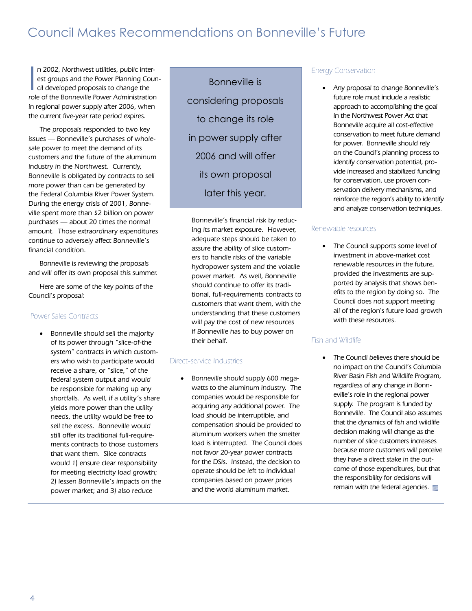### Council Makes Recommendations on Bonneville's Future

In 2002, Northwest utilities, public interest groups and the Power Planning Council developed proposals to change the role of the Bonneville Power Administration n 2002, Northwest utilities, public interest groups and the Power Planning Council developed proposals to change the in regional power supply after 2006, when the current five-year rate period expires.

The proposals responded to two key issues — Bonneville's purchases of wholesale power to meet the demand of its customers and the future of the aluminum industry in the Northwest. Currently, Bonneville is obligated by contracts to sell more power than can be generated by the Federal Columbia River Power System. During the energy crisis of 2001, Bonneville spent more than \$2 billion on power purchases — about 20 times the normal amount. Those extraordinary expenditures continue to adversely affect Bonneville's financial condition.

Bonneville is reviewing the proposals and will offer its own proposal this summer.

Here are some of the key points of the Council's proposal:

#### Power Sales Contracts

• Bonneville should sell the majority of its power through "slice-of-the system" contracts in which customers who wish to participate would receive a share, or "slice," of the federal system output and would be responsible for making up any shortfalls. As well, if a utility's share yields more power than the utility needs, the utility would be free to sell the excess. Bonneville would still offer its traditional full-requirements contracts to those customers that want them. Slice contracts would 1) ensure clear responsibility for meeting electricity load growth; 2) lessen Bonneville's impacts on the power market; and 3) also reduce

Bonneville is considering proposals to change its role in power supply after 2006 and will offer its own proposal later this year.

Bonneville's financial risk by reducing its market exposure. However, adequate steps should be taken to assure the ability of slice customers to handle risks of the variable hydropower system and the volatile power market. As well, Bonneville should continue to offer its traditional, full-requirements contracts to customers that want them, with the understanding that these customers will pay the cost of new resources if Bonneville has to buy power on their behalf.

#### Direct-service Industries

• Bonneville should supply 600 megawatts to the aluminum industry. The companies would be responsible for acquiring any additional power. The load should be interruptible, and compensation should be provided to aluminum workers when the smelter load is interrupted. The Council does not favor 20-year power contracts for the DSIs. Instead, the decision to operate should be left to individual companies based on power prices and the world aluminum market.

#### Energy Conservation

• Any proposal to change Bonneville's future role must include a realistic approach to accomplishing the goal in the Northwest Power Act that Bonneville acquire all cost-effective conservation to meet future demand for power. Bonneville should rely on the Council's planning process to identify conservation potential, provide increased and stabilized funding for conservation, use proven conservation delivery mechanisms, and reinforce the region's ability to identify and analyze conservation techniques.

#### Renewable resources

• The Council supports some level of investment in above-market cost renewable resources in the future, provided the investments are supported by analysis that shows benefits to the region by doing so. The Council does not support meeting all of the region's future load growth with these resources.

#### Fish and Wildlife

• The Council believes there should be no impact on the Council's Columbia River Basin Fish and Wildlife Program, regardless of any change in Bonneville's role in the regional power supply. The program is funded by Bonneville. The Council also assumes that the dynamics of fish and wildlife decision making will change as the number of slice customers increases because more customers will perceive they have a direct stake in the outcome of those expenditures, but that the responsibility for decisions will remain with the federal agencies.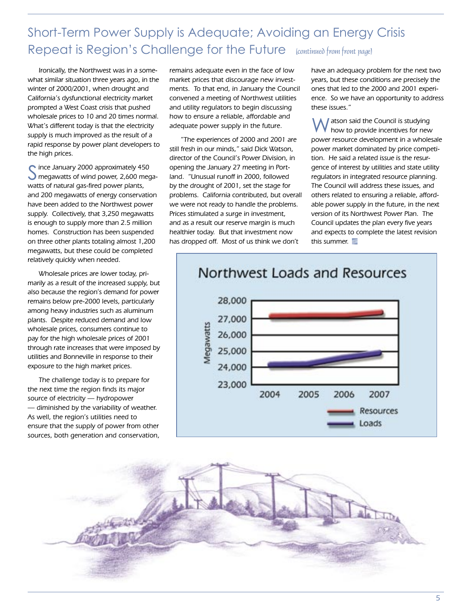### Short-Term Power Supply is Adequate; Avoiding an Energy Crisis Repeat is Region's Challenge for the Future (continued from front page)

Ironically, the Northwest was in a somewhat similar situation three years ago, in the winter of 2000/2001, when drought and California's dysfunctional electricity market prompted a West Coast crisis that pushed wholesale prices to 10 and 20 times normal. What's different today is that the electricity supply is much improved as the result of a rapid response by power plant developers to the high prices.

C ince January 2000 approximately 450 megawatts of wind power, 2,600 megawatts of natural gas-fired power plants, and 200 megawatts of energy conservation have been added to the Northwest power supply. Collectively, that 3,250 megawatts is enough to supply more than 2.5 million homes. Construction has been suspended on three other plants totaling almost 1,200 megawatts, but these could be completed relatively quickly when needed.

Wholesale prices are lower today, primarily as a result of the increased supply, but also because the region's demand for power remains below pre-2000 levels, particularly among heavy industries such as aluminum plants. Despite reduced demand and low wholesale prices, consumers continue to pay for the high wholesale prices of 2001 through rate increases that were imposed by utilities and Bonneville in response to their exposure to the high market prices.

The challenge today is to prepare for the next time the region finds its major source of electricity — hydropower — diminished by the variability of weather. As well, the region's utilities need to ensure that the supply of power from other sources, both generation and conservation, remains adequate even in the face of low market prices that discourage new investments. To that end, in January the Council convened a meeting of Northwest utilities and utility regulators to begin discussing how to ensure a reliable, affordable and adequate power supply in the future.

"The experiences of 2000 and 2001 are still fresh in our minds," said Dick Watson, director of the Council's Power Division, in opening the January 27 meeting in Portland. "Unusual runoff in 2000, followed by the drought of 2001, set the stage for problems. California contributed, but overall we were not ready to handle the problems. Prices stimulated a surge in investment, and as a result our reserve margin is much healthier today. But that investment now has dropped off. Most of us think we don't

have an adequacy problem for the next two years, but these conditions are precisely the ones that led to the 2000 and 2001 experience. So we have an opportunity to address these issues."

I atson said the Council is studying how to provide incentives for new power resource development in a wholesale power market dominated by price competition. He said a related issue is the resurgence of interest by utilities and state utility regulators in integrated resource planning. The Council will address these issues, and others related to ensuring a reliable, affordable power supply in the future, in the next version of its Northwest Power Plan. The Council updates the plan every five years and expects to complete the latest revision this summer.





#### $\sim$  5  $\sim$  5  $\sim$  5  $\sim$  5  $\sim$  5  $\sim$  5  $\sim$  5  $\sim$  5  $\sim$  5  $\sim$  5  $\sim$  5  $\sim$  5  $\sim$  5  $\sim$  5  $\sim$  5  $\sim$  5  $\sim$  5  $\sim$  5  $\sim$  5  $\sim$  5  $\sim$  5  $\sim$  5  $\sim$  5  $\sim$  5  $\sim$  5  $\sim$  5  $\sim$  5  $\sim$  5  $\sim$  5  $\sim$  5  $\sim$  5  $\sim$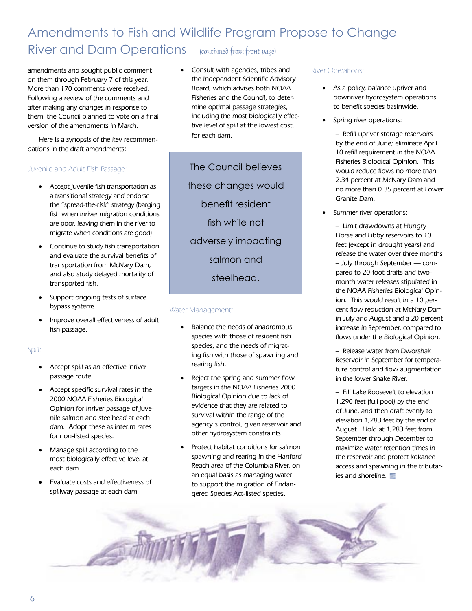### Amendments to Fish and Wildlife Program Propose to Change River and Dam Operations (continued from front page)

amendments and sought public comment on them through February 7 of this year. More than 170 comments were received. Following a review of the comments and after making any changes in response to them, the Council planned to vote on a final version of the amendments in March.

Here is a synopsis of the key recommendations in the draft amendments:

#### Juvenile and Adult Fish Passage:

- Accept juvenile fish transportation as a transitional strategy and endorse the "spread-the-risk" strategy (barging fish when inriver migration conditions are poor, leaving them in the river to migrate when conditions are good).
- Continue to study fish transportation and evaluate the survival benefits of transportation from McNary Dam, and also study delayed mortality of transported fish.
- Support ongoing tests of surface bypass systems.
- Improve overall effectiveness of adult fish passage.

#### Spill:

- Accept spill as an effective inriver passage route.
- Accept specific survival rates in the 2000 NOAA Fisheries Biological Opinion for inriver passage of juvenile salmon and steelhead at each dam. Adopt these as interim rates for non-listed species.
- Manage spill according to the most biologically effective level at each dam.
- Evaluate costs and effectiveness of spillway passage at each dam.

• Consult with agencies, tribes and the Independent Scientific Advisory Board, which advises both NOAA Fisheries and the Council, to determine optimal passage strategies, including the most biologically effective level of spill at the lowest cost, for each dam.

The Council believes these changes would benefit resident fish while not adversely impacting salmon and steelhead.

#### Water Management:

- Balance the needs of anadromous species with those of resident fish species, and the needs of migrating fish with those of spawning and rearing fish.
- Reject the spring and summer flow targets in the NOAA Fisheries 2000 Biological Opinion due to lack of evidence that they are related to survival within the range of the agency's control, given reservoir and other hydrosystem constraints.
- Protect habitat conditions for salmon spawning and rearing in the Hanford Reach area of the Columbia River, on an equal basis as managing water to support the migration of Endangered Species Act-listed species.

#### River Operations:

- As a policy, balance upriver and downriver hydrosystem operations to benefit species basinwide.
- Spring river operations:

– Refill upriver storage reservoirs by the end of June; eliminate April 10 refill requirement in the NOAA Fisheries Biological Opinion. This would reduce flows no more than 2.34 percent at McNary Dam and no more than 0.35 percent at Lower Granite Dam.

Summer river operations:

– Limit drawdowns at Hungry Horse and Libby reservoirs to 10 feet (except in drought years) and release the water over three months – July through September — compared to 20-foot drafts and twomonth water releases stipulated in the NOAA Fisheries Biological Opinion. This would result in a 10 percent flow reduction at McNary Dam in July and August and a 20 percent increase in September, compared to flows under the Biological Opinion.

– Release water from Dworshak Reservoir in September for temperature control and flow augmentation in the lower Snake River.

– Fill Lake Roosevelt to elevation 1,290 feet (full pool) by the end of June, and then draft evenly to elevation 1,283 feet by the end of August. Hold at 1,283 feet from September through December to maximize water retention times in the reservoir and protect kokanee access and spawning in the tributaries and shoreline.

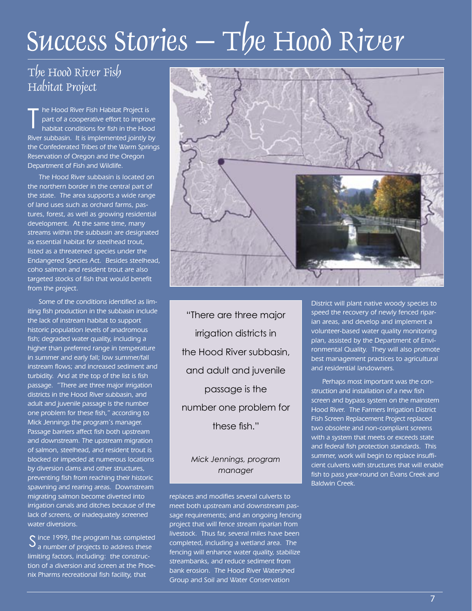# Success Stories  $-\mathrm{T}/e$  Hood River

### The Hood River Fish Habitat Project

**he Hood River Fish Habitat Project is** part of a cooperative effort to improve habitat conditions for fish in the Hood River subbasin. It is implemented jointly by the Confederated Tribes of the Warm Springs Reservation of Oregon and the Oregon Department of Fish and Wildlife. T

The Hood River subbasin is located on the northern border in the central part of the state. The area supports a wide range of land uses such as orchard farms, pastures, forest, as well as growing residential development. At the same time, many streams within the subbasin are designated as essential habitat for steelhead trout, listed as a threatened species under the Endangered Species Act. Besides steelhead, coho salmon and resident trout are also targeted stocks of fish that would benefit from the project.

Some of the conditions identified as limiting fish production in the subbasin include the lack of instream habitat to support historic population levels of anadromous fish; degraded water quality, including a higher than preferred range in temperature in summer and early fall; low summer/fall instream flows; and increased sediment and turbidity. And at the top of the list is fish passage. "There are three major irrigation districts in the Hood River subbasin, and adult and juvenile passage is the number one problem for these fish," according to Mick Jennings the program's manager. Passage barriers affect fish both upstream and downstream. The upstream migration of salmon, steelhead, and resident trout is blocked or impeded at numerous locations by diversion dams and other structures, preventing fish from reaching their historic spawning and rearing areas. Downstream migrating salmon become diverted into irrigation canals and ditches because of the lack of screens, or inadequately screened water diversions.

 $\mathcal S$  ince 1999, the program has completed a number of projects to address these a number of projects to address these limiting factors, including: the construction of a diversion and screen at the Phoenix Pharms recreational fish facility, that



"There are three major irrigation districts in the Hood River subbasin, and adult and juvenile passage is the number one problem for these fish."

#### *Mick Jennings, program manager*

replaces and modifies several culverts to meet both upstream and downstream passage requirements; and an ongoing fencing project that will fence stream riparian from livestock. Thus far, several miles have been completed, including a wetland area. The fencing will enhance water quality, stabilize streambanks, and reduce sediment from bank erosion. The Hood River Watershed Group and Soil and Water Conservation

District will plant native woody species to speed the recovery of newly fenced riparian areas, and develop and implement a volunteer-based water quality monitoring plan, assisted by the Department of Environmental Quality. They will also promote best management practices to agricultural and residential landowners.

Perhaps most important was the construction and installation of a new fish screen and bypass system on the mainstem Hood River. The Farmers Irrigation District Fish Screen Replacement Project replaced two obsolete and non-compliant screens with a system that meets or exceeds state and federal fish protection standards. This summer, work will begin to replace insufficient culverts with structures that will enable fish to pass year-round on Evans Creek and Baldwin Creek.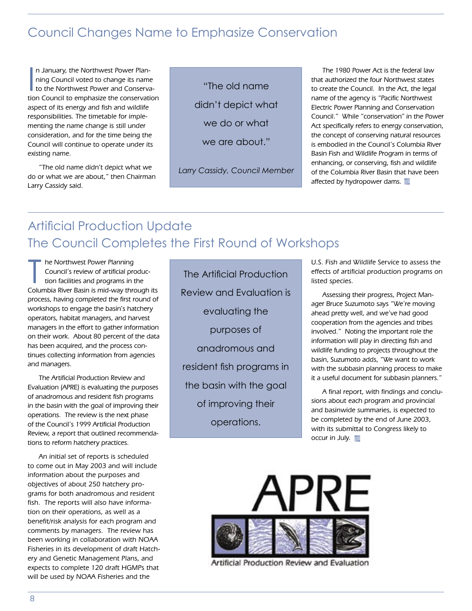### Council Changes Name to Emphasize Conservation

In January, the Northwest Power Plan-<br>
ining Council voted to change its name<br>
to the Northwest Power and Conserva-<br>
tion Council to emphasize the conservation n January, the Northwest Power Planning Council voted to change its name to the Northwest Power and Conservaaspect of its energy and fish and wildlife responsibilities. The timetable for implementing the name change is still under consideration, and for the time being the Council will continue to operate under its existing name.

"The old name didn't depict what we do or what we are about," then Chairman Larry Cassidy said.

"The old name didn't depict what we do or what we are about."

*Larry Cassidy, Council Member*

The 1980 Power Act is the federal law that authorized the four Northwest states to create the Council. In the Act, the legal name of the agency is "Pacific Northwest Electric Power Planning and Conservation Council." While "conservation" in the Power Act specifically refers to energy conservation, the concept of conserving natural resources is embodied in the Council's Columbia River Basin Fish and Wildlife Program in terms of enhancing, or conserving, fish and wildlife of the Columbia River Basin that have been affected by hydropower dams.

### Artificial Production Update The Council Completes the First Round of Workshops

The Northwest Power Planning<br>Council's review of artificial produc-<br>tion facilities and programs in the<br>Columbia River Basin is mid-way through its he Northwest Power Planning Council's review of artificial production facilities and programs in the process, having completed the first round of workshops to engage the basin's hatchery operators, habitat managers, and harvest managers in the effort to gather information on their work. About 80 percent of the data has been acquired, and the process continues collecting information from agencies and managers.

The Artificial Production Review and Evaluation (APRE) is evaluating the purposes of anadromous and resident fish programs in the basin with the goal of improving their operations. The review is the next phase of the Council's 1999 Artificial Production Review, a report that outlined recommendations to reform hatchery practices.

An initial set of reports is scheduled to come out in May 2003 and will include information about the purposes and objectives of about 250 hatchery programs for both anadromous and resident fish. The reports will also have information on their operations, as well as a benefit/risk analysis for each program and comments by managers. The review has been working in collaboration with NOAA Fisheries in its development of draft Hatchery and Genetic Management Plans, and expects to complete 120 draft HGMPs that will be used by NOAA Fisheries and the

The Artificial Production Review and Evaluation is evaluating the purposes of anadromous and resident fish programs in the basin with the goal of improving their operations.

U.S. Fish and Wildlife Service to assess the effects of artificial production programs on listed species.

Assessing their progress, Project Manager Bruce Suzumoto says "We're moving ahead pretty well, and we've had good cooperation from the agencies and tribes involved." Noting the important role the information will play in directing fish and wildlife funding to projects throughout the basin, Suzumoto adds, "We want to work with the subbasin planning process to make it a useful document for subbasin planners."

A final report, with findings and conclusions about each program and provincial and basinwide summaries, is expected to be completed by the end of June 2003, with its submittal to Congress likely to occur in July.



Artificial Production Review and Evaluation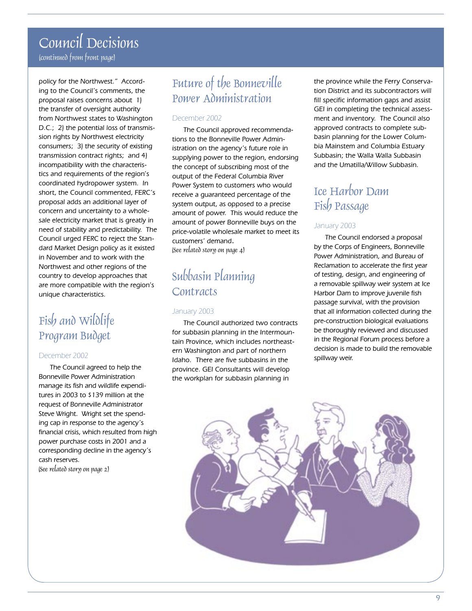### Council Decisions (continued from front page)

policy for the Northwest." According to the Council's comments, the proposal raises concerns about 1) the transfer of oversight authority from Northwest states to Washington D.C.; 2) the potential loss of transmission rights by Northwest electricity consumers; 3) the security of existing transmission contract rights; and 4) incompatibility with the characteristics and requirements of the region's coordinated hydropower system. In short, the Council commented, FERC's proposal adds an additional layer of concern and uncertainty to a wholesale electricity market that is greatly in need of stability and predictability. The Council urged FERC to reject the Standard Market Design policy as it existed in November and to work with the Northwest and other regions of the country to develop approaches that are more compatible with the region's unique characteristics.

### Fish and Wildlife Program Budget

#### December 2002

The Council agreed to help the Bonneville Power Administration manage its fish and wildlife expenditures in 2003 to \$139 million at the request of Bonneville Administrator Steve Wright. Wright set the spending cap in response to the agency's financial crisis, which resulted from high power purchase costs in 2001 and a corresponding decline in the agency's cash reserves. (See related story on page 2)

### Future of the Bonneville Power Administration

#### December 2002

The Council approved recommendations to the Bonneville Power Administration on the agency's future role in supplying power to the region, endorsing the concept of subscribing most of the output of the Federal Columbia River Power System to customers who would receive a guaranteed percentage of the system output, as opposed to a precise amount of power. This would reduce the amount of power Bonneville buys on the price-volatile wholesale market to meet its customers' demand. (See related story on page 4)

### Subbasin Planning **Contracts**

#### January 2003

The Council authorized two contracts for subbasin planning in the Intermountain Province, which includes northeastern Washington and part of northern Idaho. There are five subbasins in the province. GEI Consultants will develop the workplan for subbasin planning in

the province while the Ferry Conservation District and its subcontractors will fill specific information gaps and assist GEI in completing the technical assessment and inventory. The Council also approved contracts to complete subbasin planning for the Lower Columbia Mainstem and Columbia Estuary Subbasin; the Walla Walla Subbasin and the Umatilla/Willow Subbasin.

### Ice Harbor Dam Fish Passage

#### January 2003

The Council endorsed a proposal by the Corps of Engineers, Bonneville Power Administration, and Bureau of Reclamation to accelerate the first year of testing, design, and engineering of a removable spillway weir system at Ice Harbor Dam to improve juvenile fish passage survival, with the provision that all information collected during the pre-construction biological evaluations be thoroughly reviewed and discussed in the Regional Forum process before a decision is made to build the removable spillway weir.

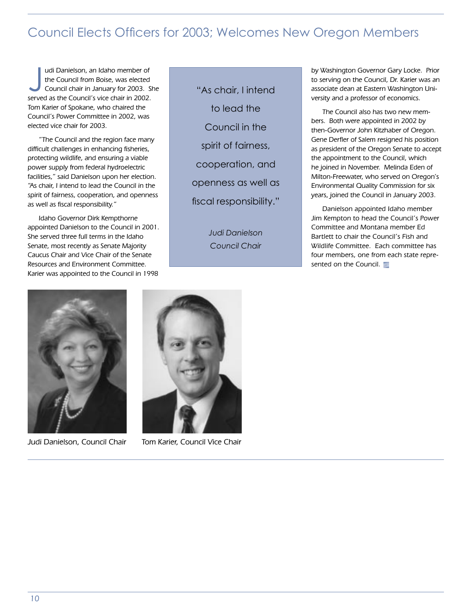### Council Elects Officers for 2003; Welcomes New Oregon Members

Judi Danielson, an Idaho member of<br>the Council from Boise, was elected<br>Council chair in January for 2003. St<br>served as the Council's vice chair in 2002. udi Danielson, an Idaho member of the Council from Boise, was elected Council chair in January for 2003. She Tom Karier of Spokane, who chaired the Council's Power Committee in 2002, was elected vice chair for 2003.

"The Council and the region face many difficult challenges in enhancing fisheries, protecting wildlife, and ensuring a viable power supply from federal hydroelectric facilities," said Danielson upon her election. "As chair, I intend to lead the Council in the spirit of fairness, cooperation, and openness as well as fiscal responsibility."

Idaho Governor Dirk Kempthorne appointed Danielson to the Council in 2001. She served three full terms in the Idaho Senate, most recently as Senate Majority Caucus Chair and Vice Chair of the Senate Resources and Environment Committee. Karier was appointed to the Council in 1998

"As chair, I intend to lead the Council in the spirit of fairness, cooperation, and openness as well as fiscal responsibility."

> *Judi Danielson Council Chair*

by Washington Governor Gary Locke. Prior to serving on the Council, Dr. Karier was an associate dean at Eastern Washington University and a professor of economics.

The Council also has two new members. Both were appointed in 2002 by then-Governor John Kitzhaber of Oregon. Gene Derfler of Salem resigned his position as president of the Oregon Senate to accept the appointment to the Council, which he joined in November. Melinda Eden of Milton-Freewater, who served on Oregon's Environmental Quality Commission for six years, joined the Council in January 2003.

Danielson appointed Idaho member Jim Kempton to head the Council's Power Committee and Montana member Ed Bartlett to chair the Council's Fish and Wildlife Committee. Each committee has four members, one from each state represented on the Council.





Judi Danielson, Council Chair Tom Karier, Council Vice Chair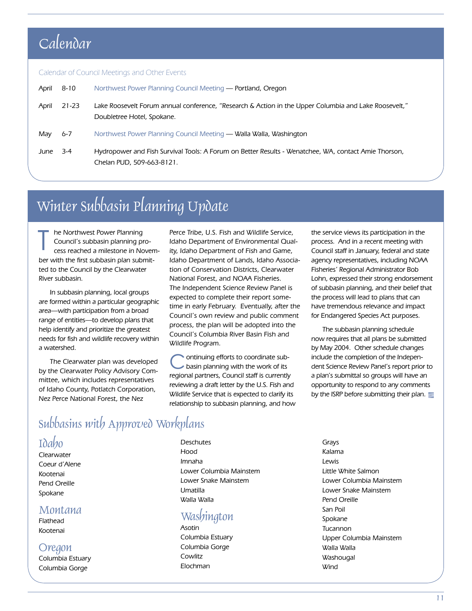### Calendar

#### Calendar of Council Meetings and Other Events

| April | 8-10   | Northwest Power Planning Council Meeting - Portland, Oregon                                                                         |
|-------|--------|-------------------------------------------------------------------------------------------------------------------------------------|
| April | 21-23  | Lake Roosevelt Forum annual conference, "Research & Action in the Upper Columbia and Lake Roosevelt,"<br>Doubletree Hotel, Spokane. |
| May   | 6-7    | Northwest Power Planning Council Meeting — Walla Walla, Washington                                                                  |
| June  | $-3-4$ | Hydropower and Fish Survival Tools: A Forum on Better Results - Wenatchee, WA, contact Amie Thorson,<br>Chelan PUD, 509-663-8121.   |

### Winter Subbasin Planning Update

he Northwest Power Planning Council's subbasin planning process reached a milestone in November with the first subbasin plan submitted to the Council by the Clearwater River subbasin. T

In subbasin planning, local groups are formed within a particular geographic area—with participation from a broad range of entities—to develop plans that help identify and prioritize the greatest needs for fish and wildlife recovery within a watershed.

The Clearwater plan was developed by the Clearwater Policy Advisory Committee, which includes representatives of Idaho County, Potlatch Corporation, Nez Perce National Forest, the Nez

Perce Tribe, U.S. Fish and Wildlife Service, Idaho Department of Environmental Quality, Idaho Department of Fish and Game, Idaho Department of Lands, Idaho Association of Conservation Districts, Clearwater National Forest, and NOAA Fisheries. The Independent Science Review Panel is expected to complete their report sometime in early February. Eventually, after the Council's own review and public comment process, the plan will be adopted into the Council's Columbia River Basin Fish and Wildlife Program.

ontinuing efforts to coordinate subbasin planning with the work of its regional partners, Council staff is currently reviewing a draft letter by the U.S. Fish and Wildlife Service that is expected to clarify its relationship to subbasin planning, and how the service views its participation in the process. And in a recent meeting with Council staff in January, federal and state agency representatives, including NOAA Fisheries' Regional Administrator Bob Lohn, expressed their strong endorsement of subbasin planning, and their belief that the process will lead to plans that can have tremendous relevance and impact for Endangered Species Act purposes.

The subbasin planning schedule now requires that all plans be submitted by May 2004. Other schedule changes include the completion of the Independent Science Review Panel's report prior to a plan's submittal so groups will have an opportunity to respond to any comments by the ISRP before submitting their plan.

### Subbasins with Approved Workplans

#### Idaho

**Clearwater** Coeur d'Alene Kootenai Pend Oreille Spokane

#### Montana

Flathead Kootenai

#### **Oregon**

Columbia Estuary Columbia Gorge

**Deschutes** Hood Imnaha Lower Columbia Mainstem Lower Snake Mainstem Umatilla Walla Walla

### **Washington**

Asotin Columbia Estuary Columbia Gorge Cowlitz Elochman

Grays Kalama Lewis Little White Salmon Lower Columbia Mainstem Lower Snake Mainstem Pend Oreille San Poil Spokane Tucannon Upper Columbia Mainstem Walla Walla **Washougal** Wind